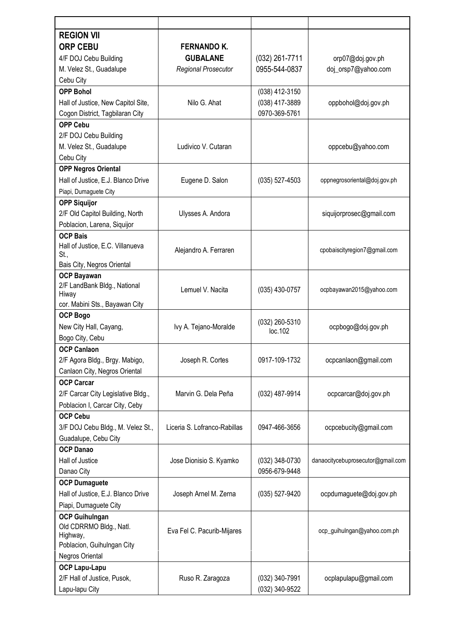| <b>REGION VII</b>                                |                              |                  |                                   |
|--------------------------------------------------|------------------------------|------------------|-----------------------------------|
| <b>ORP CEBU</b>                                  | <b>FERNANDO K.</b>           |                  |                                   |
| 4/F DOJ Cebu Building                            | <b>GUBALANE</b>              | $(032)$ 261-7711 | orp07@doj.gov.ph                  |
| M. Velez St., Guadalupe                          | <b>Regional Prosecutor</b>   | 0955-544-0837    | doj_orsp7@yahoo.com               |
| Cebu City                                        |                              |                  |                                   |
| <b>OPP Bohol</b>                                 |                              | (038) 412-3150   |                                   |
| Hall of Justice, New Capitol Site,               | Nilo G. Ahat                 | (038) 417-3889   | oppbohol@doj.gov.ph               |
| Cogon District, Tagbilaran City                  |                              | 0970-369-5761    |                                   |
| <b>OPP Cebu</b>                                  |                              |                  |                                   |
| 2/F DOJ Cebu Building                            |                              |                  |                                   |
| M. Velez St., Guadalupe                          | Ludivico V. Cutaran          |                  | oppcebu@yahoo.com                 |
| Cebu City                                        |                              |                  |                                   |
| <b>OPP Negros Oriental</b>                       |                              |                  |                                   |
| Hall of Justice, E.J. Blanco Drive               | Eugene D. Salon              | (035) 527-4503   | oppnegrosoriental@doj.gov.ph      |
| Piapi, Dumaguete City                            |                              |                  |                                   |
| <b>OPP Siquijor</b>                              |                              |                  |                                   |
| 2/F Old Capitol Building, North                  | Ulysses A. Andora            |                  | siquijorprosec@gmail.com          |
| Poblacion, Larena, Siquijor                      |                              |                  |                                   |
| <b>OCP Bais</b>                                  |                              |                  |                                   |
| Hall of Justice, E.C. Villanueva                 |                              |                  |                                   |
| St.,                                             | Alejandro A. Ferraren        |                  | cpobaiscityregion7@gmail.com      |
| Bais City, Negros Oriental                       |                              |                  |                                   |
| <b>OCP Bayawan</b>                               |                              |                  |                                   |
| 2/F LandBank Bldg., National                     | Lemuel V. Nacita             | $(035)$ 430-0757 | ocpbayawan2015@yahoo.com          |
| Hiway                                            |                              |                  |                                   |
| cor. Mabini Sts., Bayawan City                   |                              |                  |                                   |
| <b>OCP Bogo</b>                                  |                              | (032) 260-5310   |                                   |
| New City Hall, Cayang,                           | Ivy A. Tejano-Moralde        | loc.102          | ocpbogo@doj.gov.ph                |
| Bogo City, Cebu                                  |                              |                  |                                   |
| <b>OCP Canlaon</b>                               |                              | 0917-109-1732    |                                   |
| 2/F Agora Bldg., Brgy. Mabigo,                   | Joseph R. Cortes             |                  | ocpcanlaon@gmail.com              |
| Canlaon City, Negros Oriental                    |                              |                  |                                   |
| <b>OCP Carcar</b>                                |                              |                  |                                   |
| 2/F Carcar City Legislative Bldg.,               | Marvin G. Dela Peña          | (032) 487-9914   | ocpcarcar@doj.gov.ph              |
| Poblacion I, Carcar City, Ceby                   |                              |                  |                                   |
| <b>OCP Cebu</b>                                  |                              |                  |                                   |
| 3/F DOJ Cebu Bldg., M. Velez St.,                | Liceria S. Lofranco-Rabillas | 0947-466-3656    | ocpcebucity@gmail.com             |
| Guadalupe, Cebu City                             |                              |                  |                                   |
| <b>OCP Danao</b>                                 |                              |                  |                                   |
| Hall of Justice                                  | Jose Dionisio S. Kyamko      | (032) 348-0730   | danaocitycebuprosecutor@gmail.com |
| Danao City                                       |                              | 0956-679-9448    |                                   |
| <b>OCP Dumaguete</b>                             |                              |                  |                                   |
| Hall of Justice, E.J. Blanco Drive               | Joseph Arnel M. Zerna        | (035) 527-9420   | ocpdumaguete@doj.gov.ph           |
| Piapi, Dumaguete City                            |                              |                  |                                   |
| <b>OCP Guihulngan</b><br>Old CDRRMO Bldg., Natl. |                              |                  |                                   |
| Highway,                                         | Eva Fel C. Pacurib-Mijares   |                  | ocp_guihulngan@yahoo.com.ph       |
| Poblacion, Guihulngan City                       |                              |                  |                                   |
| Negros Oriental                                  |                              |                  |                                   |
| <b>OCP Lapu-Lapu</b>                             |                              |                  |                                   |
| 2/F Hall of Justice, Pusok,                      | Ruso R. Zaragoza             | (032) 340-7991   | ocplapulapu@gmail.com             |
| Lapu-lapu City                                   |                              | (032) 340-9522   |                                   |